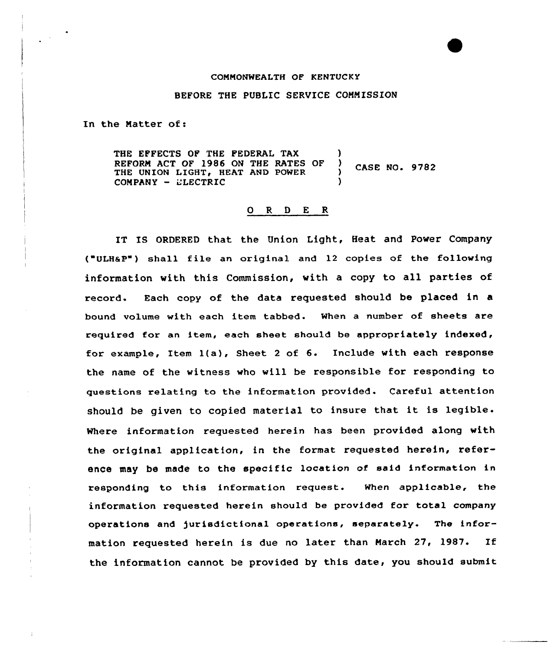#### COMMONWEALTH OF KENTUCKY

### BEFORE THE PUBLIC SERVICE COMMISSION

In the Natter of:

THE EFFECTS OF THE FEDERAL TAX REFORM ACT OF 1986 ON THE RATES OF ) CASE NO. 9782<br>THE UNION LIGHT, HEAT AND POWER ) CASE NO. 9782<br>COMPANY - ELECTRIC THE UNION LIGHT, HEAT AND POWER

### 0 <sup>R</sup> <sup>D</sup> E <sup>R</sup>

IT IS ORDERED that the Union Light, Heat and Power Company ("ULHaP ) shall file an or iginal and 12 copies of the following information with this Commission, with <sup>a</sup> copy to all parties of record. Each copy of the data requested should be placed in a bound volume with each item tabbed. When a number of sheets are required for an item, each sheet should be appropriately indexed, for example, Item 1(a), Sheet <sup>2</sup> of 6. Include with each response the name of the witness who will be responsible for responding to questions relating to the information provided. Careful attention should be given to copied material to insure that it is legible. Where information requested herein has been provided along with the original application, in the format requested herein, reference may be made to the specific location of said information in responding to this information request. When applicable, the information requested herein should be provided for total company operations and )urisdictional operations, separately. The information requested herein is due no later than March 27, 1987. If the information cannot be provided by this date, you should submit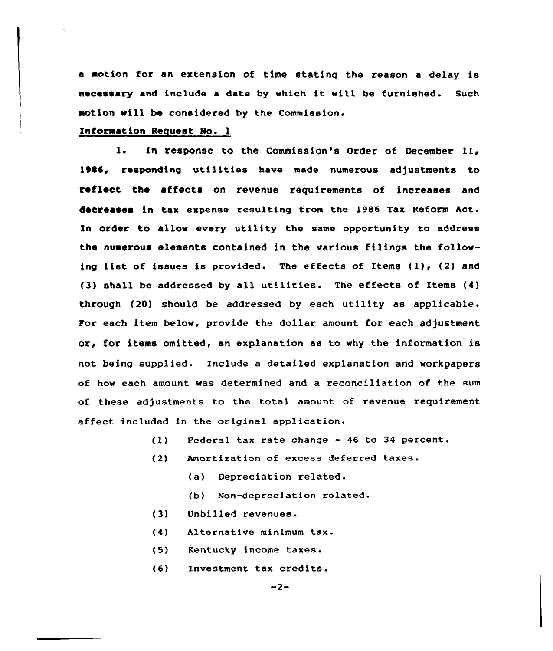a motian for an extension of time stating the reason a delay is necessary and include a date by which it will be furnished. Such motion vill be considered by the Commission.

## Information Request No. 1

1. In response to the Commission's Order of December ll, 1\$\$6, responding utilities have made numerous adjustments to reflect the affects on revenue requirements of increases and decreases in tax expense resulting from the 1986 Tax Reform Act. In order to allow every utility the same opportunity to address the numerous elements contained in the various filings the follawing list of issues is provided. The effects of Items (1), (2) and (3) shall be addressed by all utilities. The effects of Items (4) through (20) should be addressed by each utility as applicable. For each item below, provide the dollar amount for each adjustment or, for items omitted, an explanation as to why the information is not being supplied. Include a detailed explanation and workpapers of haw each amount was determined and a reconciliation of the sum of these adjustments to the total amount of revenue requirement affect included in the original application.

- Federal tax rate change 46 to 34 percent.  $(1)$
- Amortization of excess deferred taxes.  $(2)$ 
	- (a) Depreciation related.
	- (b) Non-depreciation related.
- (3) Unbilled revenues.
- $(4)$ Alternative minimum
- (5) Kentucky income taxes.
- $(6)$ Investment tax credits.

 $-2-$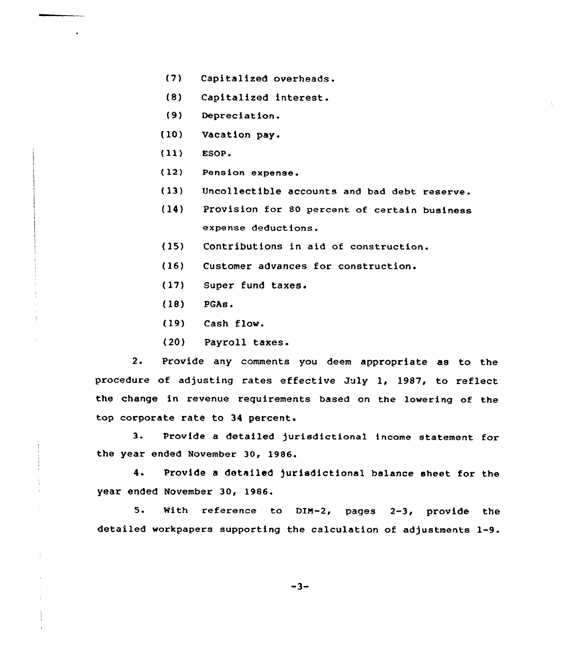- (7) Capitalized overheads.
- (8) Capitalized interest.
- (9) Depreciation.
- (10) Yacation pay.
- (11) EsoP.
- (12) Pension expense.
- (13) Uncollectible accounts and bad debt reserve.
- (14) Provision for 80 percent of certain business expense deductions.
- (15) Contributions in aid of construction.
- (16) Customer advances for construction.
- (17) Super fund taxes.
- (18) PGAs.
- (19) Cash flow.
- (20) Payroll taxes.

2. Provide any comments you deem appropriate as to the procedure of adjusting rates effective July 1, 1987, to reflect the change in revenue requirements based on the lowering of the top corporate rate to 34 percent.

3. Provide <sup>a</sup> detailed jurisdictional income statement for the year ended November 30, 1986.

4. Provide <sup>a</sup> detailed jurisdictional balance sheet for the year ended November 30, 1986.

5. With reference to DIM-2, pages 2-3, provide the detailed workpapers supporting the calculation of adjustments 1-9.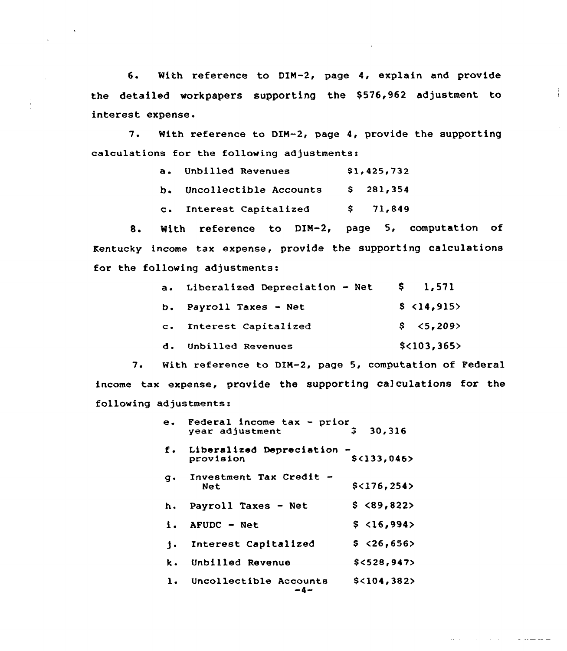6. With reference to DIM-2, page 4, explain and provide the detailed workpapers supporting the \$576,962 adjustment to interest expense.

÷

سأستشفذ والمنافذة والمنافرة

7. With reference to DIM-2, page 4, provide the supporting calculations for the following adjustments:

| $a_{\bullet}$ | <b>Unbilled Revenues</b>  | \$1,425,732 |           |
|---------------|---------------------------|-------------|-----------|
|               | b. Uncollectible Accounts |             | \$281,354 |
|               | c. Interest Capitalized   |             | \$71,849  |

8. With reference to DIM-2, page 5, computation of Kentucky income tax expense, provide the supporting calculations for the following adjustments:

| $a_{\bullet}$ | Liberalized Depreciation - Net | \$ 1,571    |
|---------------|--------------------------------|-------------|
|               | b. Payroll Taxes - Net         | \$ 14,915   |
|               | c. Interest Capitalized        | \$3,209     |
| d.            | Unbilled Revenues              | \$<103,365> |

7. With reference to DIM-2, page 5, computation of Federal income tax expense, provide the supporting calculations for the following adjustments:

|    | e. Federal income tax - prior<br>year adjustment | з<br>30,316   |
|----|--------------------------------------------------|---------------|
|    | f. Liberalized Depreciation -<br>provision       | \$<133,046>   |
| q. | Investment Tax Credit -<br>Net                   | \$<176,254>   |
|    | h. Payroll Taxes - Net                           | \$ <89,822    |
| i. | AFUDC - Net                                      | \$3, 16, 994  |
| 1. | Interest Capitalized                             | \$326,656     |
| k. | Unbilled Revenue                                 | \$<528.947    |
| 1. | Uncollectible Accounts                           | $$<$ 104,382> |